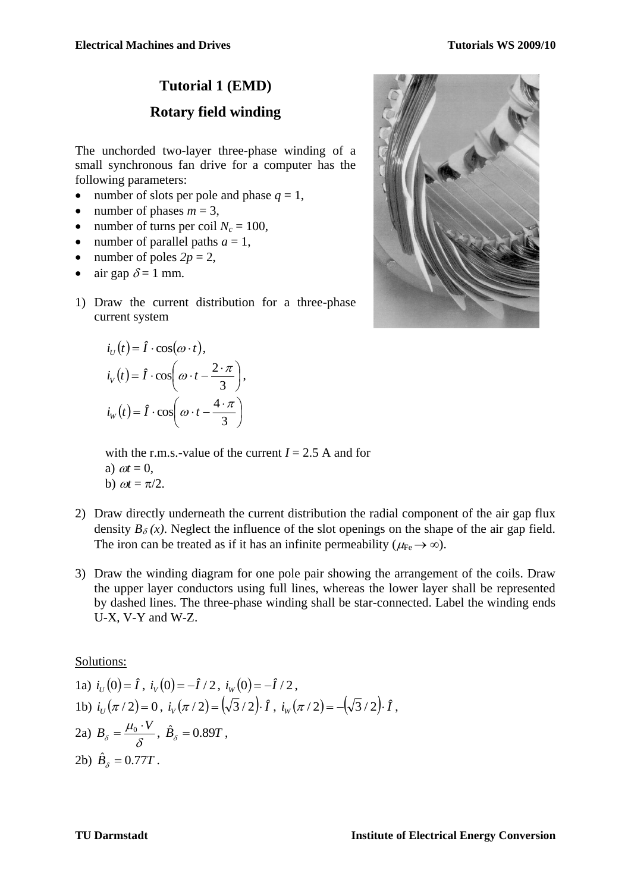## **Tutorial 1 (EMD)**

## **Rotary field winding**

The unchorded two-layer three-phase winding of a small synchronous fan drive for a computer has the following parameters:

- number of slots per pole and phase  $q = 1$ ,
- number of phases  $m = 3$ ,
- number of turns per coil  $N_c = 100$ ,
- number of parallel paths  $a = 1$ ,
- number of poles  $2p = 2$ ,
- air gap  $\delta = 1$  mm.
- 1) Draw the current distribution for a three-phase current system

$$
i_U(t) = \hat{I} \cdot \cos(\omega \cdot t),
$$
  
\n
$$
i_V(t) = \hat{I} \cdot \cos\left(\omega \cdot t - \frac{2 \cdot \pi}{3}\right),
$$
  
\n
$$
i_W(t) = \hat{I} \cdot \cos\left(\omega \cdot t - \frac{4 \cdot \pi}{3}\right)
$$

with the r.m.s.-value of the current  $I = 2.5$  A and for a)  $\omega t = 0$ , b)  $\omega t = \pi/2$ .

- 2) Draw directly underneath the current distribution the radial component of the air gap flux density  $B_\delta(x)$ . Neglect the influence of the slot openings on the shape of the air gap field. The iron can be treated as if it has an infinite permeability ( $\mu_{\text{Fe}} \rightarrow \infty$ ).
- 3) Draw the winding diagram for one pole pair showing the arrangement of the coils. Draw the upper layer conductors using full lines, whereas the lower layer shall be represented by dashed lines. The three-phase winding shall be star-connected. Label the winding ends U-X, V-Y and W-Z.

Solutions:

1a) 
$$
i_U(0) = \hat{I}
$$
,  $i_V(0) = -\hat{I}/2$ ,  $i_W(0) = -\hat{I}/2$ ,  
\n1b)  $i_U(\pi/2) = 0$ ,  $i_V(\pi/2) = (\sqrt{3}/2) \cdot \hat{I}$ ,  $i_W(\pi/2) = -(\sqrt{3}/2) \cdot \hat{I}$ ,  
\n2a)  $B_\delta = \frac{\mu_0 \cdot V}{\delta}$ ,  $\hat{B}_\delta = 0.89T$ ,  
\n2b)  $\hat{B}_\delta = 0.77T$ .

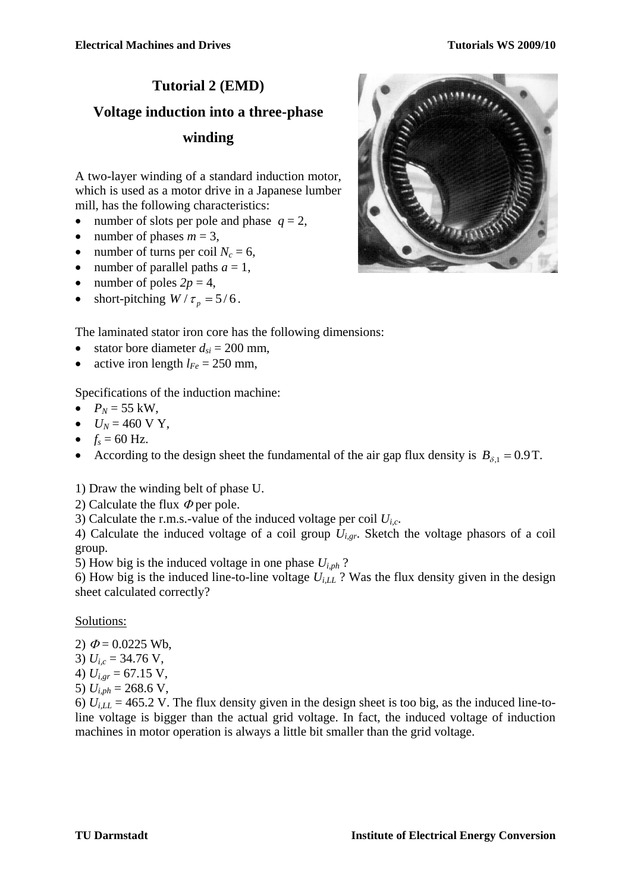# **Tutorial 2 (EMD) Voltage induction into a three-phase winding**

A two-layer winding of a standard induction motor, which is used as a motor drive in a Japanese lumber mill, has the following characteristics:

- number of slots per pole and phase  $q = 2$ ,
- number of phases  $m = 3$ ,
- number of turns per coil  $N_c = 6$ ,
- number of parallel paths  $a = 1$ ,
- number of poles  $2p = 4$ ,
- short-pitching  $W / \tau_p = 5/6$ .



- The laminated stator iron core has the following dimensions:
- stator bore diameter  $d_{si} = 200$  mm,
- active iron length  $l_{Fe} = 250$  mm,

Specifications of the induction machine:

- $P_N = 55$  kW,
- $U_N = 460 \text{ V Y}$ ,
- $f_s = 60$  Hz.
- According to the design sheet the fundamental of the air gap flux density is  $B_{\delta,1} = 0.9$  T.

1) Draw the winding belt of phase U.

2) Calculate the flux  $\Phi$  per pole.

3) Calculate the r.m.s.-value of the induced voltage per coil *Ui,c*.

4) Calculate the induced voltage of a coil group *Ui,gr*. Sketch the voltage phasors of a coil group.

5) How big is the induced voltage in one phase  $U_{i,ph}$ ?

6) How big is the induced line-to-line voltage  $U_{i,LL}$  ? Was the flux density given in the design sheet calculated correctly?

Solutions:

- 2)  $\Phi = 0.0225$  Wb,
- 3)  $U_{i,c} = 34.76$  V,
- 4)  $U_{i,gr}$  = 67.15 V,
- 5)  $U_{i,ph} = 268.6$  V,

6)  $U_{i,L}$  = 465.2 V. The flux density given in the design sheet is too big, as the induced line-toline voltage is bigger than the actual grid voltage. In fact, the induced voltage of induction machines in motor operation is always a little bit smaller than the grid voltage.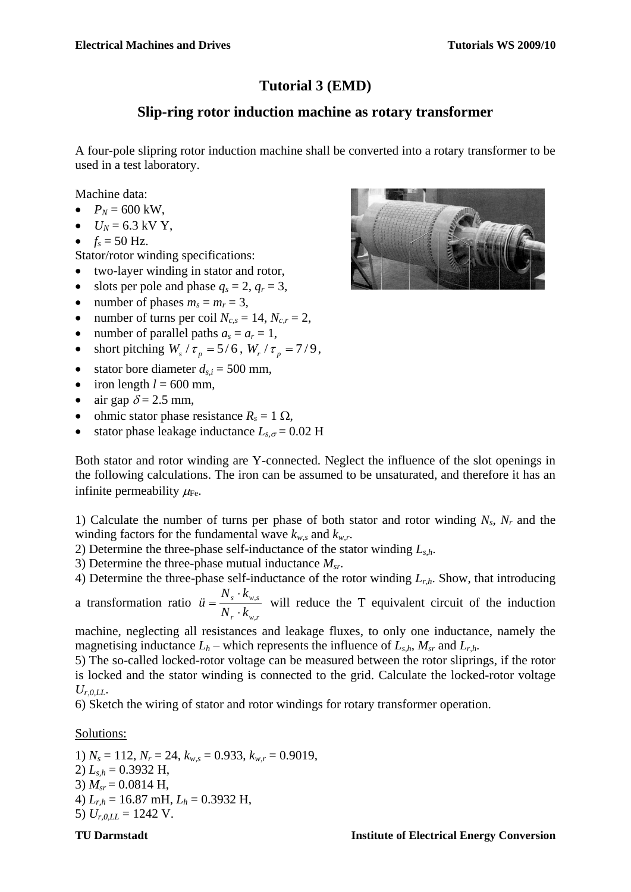## **Tutorial 3 (EMD)**

## **Slip-ring rotor induction machine as rotary transformer**

A four-pole slipring rotor induction machine shall be converted into a rotary transformer to be used in a test laboratory.

Machine data:

- $P_N = 600 \text{ kW}$ .
- $U_N = 6.3$  kV Y,
- $f_s = 50$  Hz.
- Stator/rotor winding specifications:
- two-layer winding in stator and rotor,
- slots per pole and phase  $q_s = 2$ ,  $q_r = 3$ ,
- number of phases  $m_s = m_r = 3$ ,
- number of turns per coil  $N_{c,s} = 14$ ,  $N_{c,r} = 2$ ,
- number of parallel paths  $a_s = a_r = 1$ ,
- short pitching  $W_s / \tau_p = 5/6$ ,  $W_r / \tau_p = 7/9$ ,
- stator bore diameter  $d_{s,i} = 500$  mm,
- $\bullet$  iron length  $l = 600$  mm,
- air gap  $\delta = 2.5$  mm,
- ohmic stator phase resistance  $R_s = 1 \Omega$ ,
- stator phase leakage inductance  $L_{s,\sigma} = 0.02$  H

Both stator and rotor winding are Y-connected. Neglect the influence of the slot openings in the following calculations. The iron can be assumed to be unsaturated, and therefore it has an infinite permeability  $\mu_{\text{Fe}}$ .

1) Calculate the number of turns per phase of both stator and rotor winding *Ns*, *N<sup>r</sup>* and the winding factors for the fundamental wave  $k_{w,s}$  and  $k_{w,r}$ .

- 2) Determine the three-phase self-inductance of the stator winding *Ls,h*.
- 3) Determine the three-phase mutual inductance *Msr*.

4) Determine the three-phase self-inductance of the rotor winding *Lr,h*. Show, that introducing

a transformation ratio *r w r s w s N k N k*  $\ddot{u} = \frac{3}{2}$ .  $=\frac{N_s \cdot K_{w,s}}{N_s}$  will reduce the T equivalent circuit of the induction

machine, neglecting all resistances and leakage fluxes, to only one inductance, namely the magnetising inductance  $L_h$  – which represents the influence of  $L_{s,h}$ ,  $M_{sr}$  and  $L_{r,h}$ .

5) The so-called locked-rotor voltage can be measured between the rotor sliprings, if the rotor is locked and the stator winding is connected to the grid. Calculate the locked-rotor voltage  $U_{r,0,LL}$ 

6) Sketch the wiring of stator and rotor windings for rotary transformer operation.

Solutions:

1)  $N_s = 112$ ,  $N_r = 24$ ,  $k_{w,s} = 0.933$ ,  $k_{w,r} = 0.9019$ , 2) *Ls,h* = 0.3932 H, 3)  $M_{sr} = 0.0814$  H, 4) *Lr,h* = 16.87 mH, *L<sup>h</sup>* = 0.3932 H, 5)  $U_{r,0,LL} = 1242$  V.

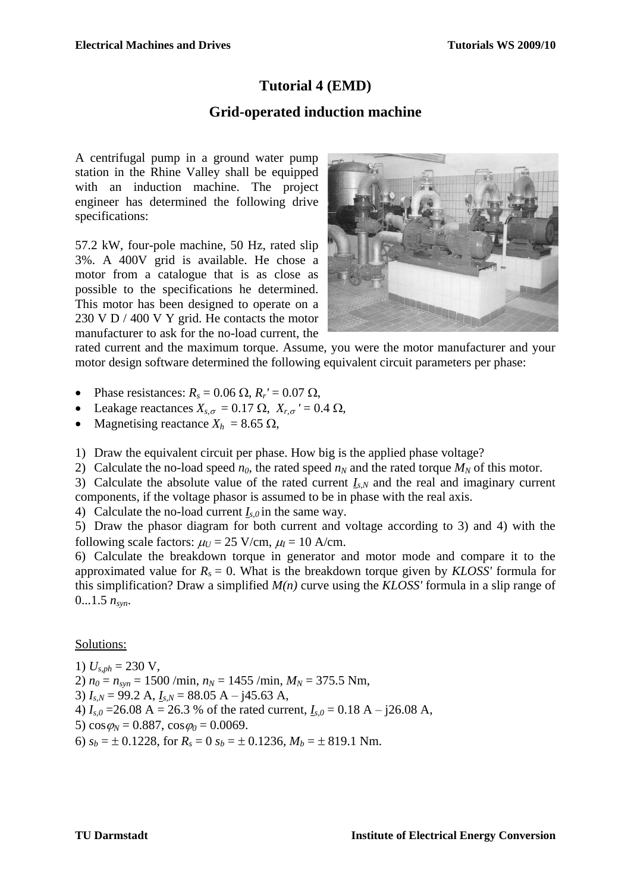## **Tutorial 4 (EMD)**

#### **Grid-operated induction machine**

A centrifugal pump in a ground water pump station in the Rhine Valley shall be equipped with an induction machine. The project engineer has determined the following drive specifications:

57.2 kW, four-pole machine, 50 Hz, rated slip 3%. A 400V grid is available. He chose a motor from a catalogue that is as close as possible to the specifications he determined. This motor has been designed to operate on a 230 V D / 400 V Y grid. He contacts the motor manufacturer to ask for the no-load current, the



rated current and the maximum torque. Assume, you were the motor manufacturer and your motor design software determined the following equivalent circuit parameters per phase:

• Phase resistances:  $R_s = 0.06 \Omega$ ,  $R_r' = 0.07 \Omega$ ,

- Leakage reactances  $X_{s,\sigma} = 0.17 \Omega$ ,  $X_{r,\sigma} = 0.4 \Omega$ ,
- Magnetising reactance  $X_h$  = 8.65  $\Omega$ ,

1) Draw the equivalent circuit per phase. How big is the applied phase voltage?

2) Calculate the no-load speed  $n_0$ , the rated speed  $n_N$  and the rated torque  $M_N$  of this motor.

3) Calculate the absolute value of the rated current  $I_{s,N}$  and the real and imaginary current components, if the voltage phasor is assumed to be in phase with the real axis.

4) Calculate the no-load current  $I_{s,0}$  in the same way.

5) Draw the phasor diagram for both current and voltage according to 3) and 4) with the following scale factors:  $\mu_U = 25 \text{ V/cm}, \mu_I = 10 \text{ A/cm}.$ 

6) Calculate the breakdown torque in generator and motor mode and compare it to the approximated value for  $R_s = 0$ . What is the breakdown torque given by *KLOSS'* formula for this simplification? Draw a simplified *M(n)* curve using the *KLOSS'* formula in a slip range of  $0...1.5 n_{syn}$ .

#### Solutions:

1)  $U_{s,ph} = 230$  V, 2)  $n_0 = n_{syn} = 1500 / \text{min}, n_N = 1455 / \text{min}, M_N = 375.5 \text{ Nm},$ 3) *Is,N* = 99.2 A, *Is,N* = 88.05 A – j45.63 A, 4)  $I_{s,0}$  = 26.08 A = 26.3 % of the rated current,  $I_{s,0}$  = 0.18 A – j26.08 A, 5)  $\cos \varphi_N = 0.887$ ,  $\cos \varphi_0 = 0.0069$ . 6)  $s_b = \pm 0.1228$ , for  $R_s = 0$   $s_b = \pm 0.1236$ ,  $M_b = \pm 819.1$  Nm.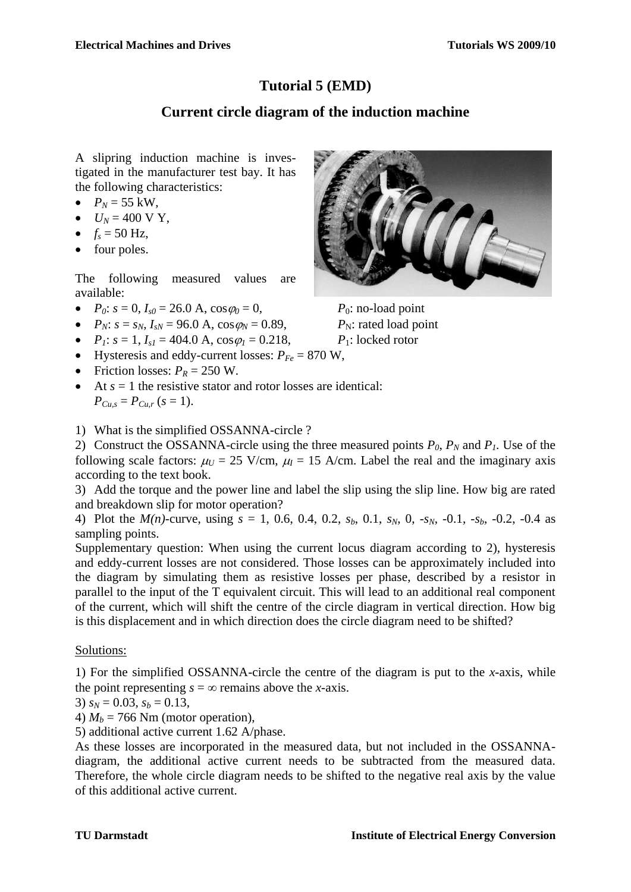## **Tutorial 5 (EMD)**

## **Current circle diagram of the induction machine**

A slipring induction machine is investigated in the manufacturer test bay. It has the following characteristics:

- $P_N = 55 \text{ kW}$ ,
- $U_N = 400 \text{ V Y}$ ,
- $f_s = 50$  Hz,
- four poles.

The following measured values are available:

- $P_0$ :  $s = 0$ ,  $I_{s0} = 26.0$  A,  $\cos \varphi_0 = 0$ ,  $P_0$ : no-load point
- $P_N$ :  $s = s_N$ ,  $I_{N} = 96.0$  A,  $\cos \varphi_N = 0.89$ ,  $P_N$ : rated load point
- $P_1$ :  $s = 1$ ,  $I_{s1} = 404.0$  A,  $\cos \varphi_1 = 0.218$ ,  $P_1$ : locked rotor
- Hysteresis and eddy-current losses:  $P_{Fe} = 870 \text{ W}$ ,
- Friction losses:  $P_R = 250$  W.
- $\bullet$  At  $s = 1$  the resistive stator and rotor losses are identical:  $P_{Cu,s} = P_{Cu,r}$  (*s* = 1).



1) What is the simplified OSSANNA-circle ?

2) Construct the OSSANNA-circle using the three measured points  $P_0$ ,  $P_N$  and  $P_I$ . Use of the following scale factors:  $\mu_U = 25$  V/cm,  $\mu_I = 15$  A/cm. Label the real and the imaginary axis according to the text book.

3) Add the torque and the power line and label the slip using the slip line. How big are rated and breakdown slip for motor operation?

4) Plot the  $M(n)$ -curve, using  $s = 1, 0.6, 0.4, 0.2, s_b, 0.1, s_N, 0, -s_N, -0.1, -s_b, -0.2, -0.4$  as sampling points.

Supplementary question: When using the current locus diagram according to 2), hysteresis and eddy-current losses are not considered. Those losses can be approximately included into the diagram by simulating them as resistive losses per phase, described by a resistor in parallel to the input of the T equivalent circuit. This will lead to an additional real component of the current, which will shift the centre of the circle diagram in vertical direction. How big is this displacement and in which direction does the circle diagram need to be shifted?

#### Solutions:

1) For the simplified OSSANNA-circle the centre of the diagram is put to the *x*-axis, while the point representing  $s = \infty$  remains above the *x*-axis.

3)  $s_N = 0.03$ ,  $s_b = 0.13$ ,

4)  $M_b = 766$  Nm (motor operation),

5) additional active current 1.62 A/phase.

As these losses are incorporated in the measured data, but not included in the OSSANNAdiagram, the additional active current needs to be subtracted from the measured data. Therefore, the whole circle diagram needs to be shifted to the negative real axis by the value of this additional active current.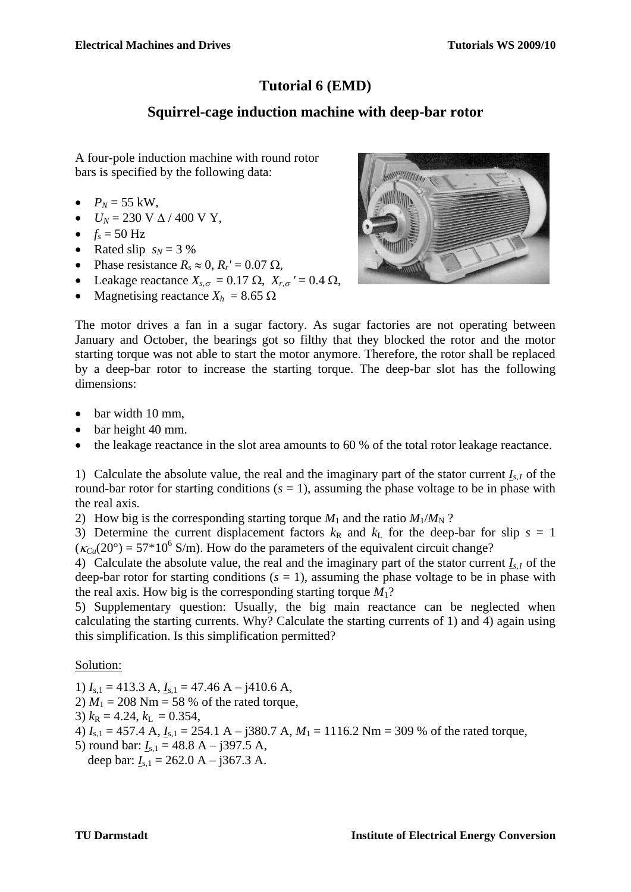## **Tutorial 6 (EMD)**

## **Squirrel-cage induction machine with deep-bar rotor**

A four-pole induction machine with round rotor bars is specified by the following data:

- $P_N = 55$  kW,
- $U_N$  = 230 V  $\Delta$  / 400 V Y,
- $f_s = 50 \text{ Hz}$
- Rated slip  $s_N = 3\%$
- Phase resistance  $R_s \approx 0$ ,  $R_r' = 0.07 \Omega$ ,
- Leakage reactance  $X_{s,\sigma} = 0.17 \Omega$ ,  $X_{r,\sigma} = 0.4 \Omega$ ,
- Magnetising reactance  $X_h$  = 8.65  $\Omega$



The motor drives a fan in a sugar factory. As sugar factories are not operating between January and October, the bearings got so filthy that they blocked the rotor and the motor starting torque was not able to start the motor anymore. Therefore, the rotor shall be replaced by a deep-bar rotor to increase the starting torque. The deep-bar slot has the following dimensions:

- $\bullet$  bar width 10 mm,
- bar height 40 mm.
- the leakage reactance in the slot area amounts to 60 % of the total rotor leakage reactance.

1) Calculate the absolute value, the real and the imaginary part of the stator current  $I_{s,l}$  of the round-bar rotor for starting conditions  $(s = 1)$ , assuming the phase voltage to be in phase with the real axis.

2) How big is the corresponding starting torque  $M_1$  and the ratio  $M_1/M_N$ ?

3) Determine the current displacement factors  $k<sub>R</sub>$  and  $k<sub>L</sub>$  for the deep-bar for slip  $s = 1$  $(\kappa_{Cu}(20^{\circ}) = 57*10^{6}$  S/m). How do the parameters of the equivalent circuit change?

4) Calculate the absolute value, the real and the imaginary part of the stator current  $I_{s,l}$  of the deep-bar rotor for starting conditions  $(s = 1)$ , assuming the phase voltage to be in phase with the real axis. How big is the corresponding starting torque  $M_1$ ?

5) Supplementary question: Usually, the big main reactance can be neglected when calculating the starting currents. Why? Calculate the starting currents of 1) and 4) again using this simplification. Is this simplification permitted?

#### Solution:

1)  $I_{s,1} = 413.3$  A,  $I_{s,1} = 47.46$  A – j410.6 A,

2)  $M_1 = 208$  Nm = 58 % of the rated torque,

3)  $k_{\text{R}} = 4.24, k_{\text{L}} = 0.354,$ 

4) *I*s,1 = 457.4 A, *I*s,1 = 254.1 A – j380.7 A, *M*<sup>1</sup> = 1116.2 Nm = 309 % of the rated torque,

5) round bar:  $I_{s,1} = 48.8 \text{ A} - j397.5 \text{ A}$ , deep bar:  $I_{s,1} = 262.0 \text{ A} - 1367.3 \text{ A}$ .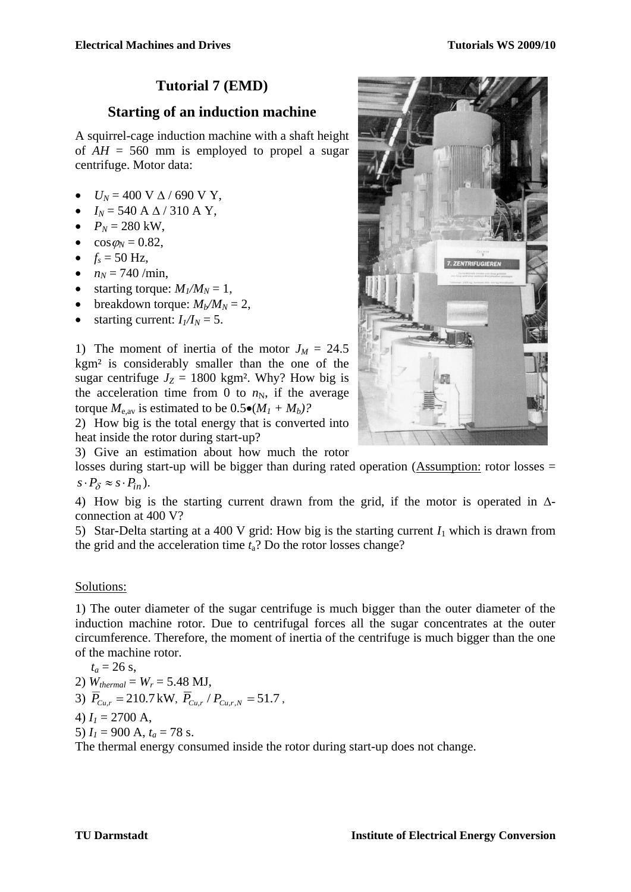## **Tutorial 7 (EMD)**

#### **Starting of an induction machine**

A squirrel-cage induction machine with a shaft height of  $AH = 560$  mm is employed to propel a sugar centrifuge. Motor data:

- $U_N = 400 \text{ V} \Delta / 690 \text{ V} \text{Y}$ ,
- $I_N$  = 540 A  $\Delta$  / 310 A Y,
- $P_N = 280 \text{ kW}$ ,
- $\cos \varphi_N = 0.82$ ,
- $f_s = 50 \text{ Hz}$ ,
- $n_N = 740$ /min,
- starting torque:  $M_1/M_N = 1$ ,
- breakdown torque:  $M_b/M_N = 2$ ,
- starting current:  $I_1/I_N = 5$ .

1) The moment of inertia of the motor  $J_M = 24.5$ kgm² is considerably smaller than the one of the sugar centrifuge  $J_Z = 1800$  kgm<sup>2</sup>. Why? How big is the acceleration time from 0 to  $n<sub>N</sub>$ , if the average torque  $M_{e,av}$  is estimated to be  $0.5 \bullet (M_1 + M_b)$ ?

2) How big is the total energy that is converted into heat inside the rotor during start-up?

3) Give an estimation about how much the rotor

losses during start-up will be bigger than during rated operation (Assumption: rotor losses =  $s \cdot P_{\delta} \approx s \cdot P_{in}$ ).

4) How big is the starting current drawn from the grid, if the motor is operated in  $\Delta$ connection at 400 V?

5) Star-Delta starting at a 400 V grid: How big is the starting current  $I_1$  which is drawn from the grid and the acceleration time *t*a? Do the rotor losses change?

#### Solutions:

1) The outer diameter of the sugar centrifuge is much bigger than the outer diameter of the induction machine rotor. Due to centrifugal forces all the sugar concentrates at the outer circumference. Therefore, the moment of inertia of the centrifuge is much bigger than the one of the machine rotor.

 $t_a = 26$  s, 2)  $W_{thermal} = W_r = 5.48$  MJ, 3)  $\overline{P}_{C_{u,r}} = 210.7 \text{ kW}, \ \overline{P}_{C_{u,r}} / P_{C_{u,r,N}} = 51.7$ 4)  $I_1 = 2700$  A, 5)  $I_1 = 900$  A,  $t_a = 78$  s. The thermal energy consumed inside the rotor during start-up does not change.

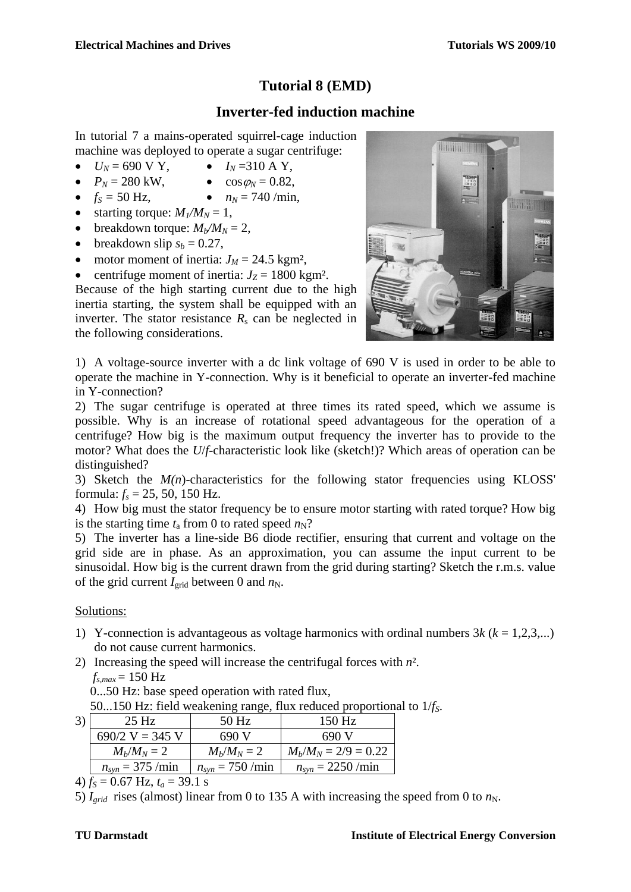## **Tutorial 8 (EMD)**

## **Inverter-fed induction machine**

In tutorial 7 a mains-operated squirrel-cage induction machine was deployed to operate a sugar centrifuge:

- $U_N = 690 \text{ V Y}$ ,  $I_N = 310 \text{ A Y}$ ,
- $P_N = 280 \text{ kW},$   $\cos \varphi_N = 0.82,$
- $f_s = 50 \text{ Hz}$ ,  $n_N = 740 \text{/min}$ ,
- 
- starting torque:  $M_1/M_N = 1$ ,
- breakdown torque:  $M_b/M_N = 2$ ,
- $\bullet$  breakdown slip  $s_b = 0.27$ ,
- motor moment of inertia:  $J_M = 24.5$  kgm<sup>2</sup>,
- centrifuge moment of inertia:  $J_Z = 1800 \text{ kg} \text{m}^2$ .

Because of the high starting current due to the high inertia starting, the system shall be equipped with an inverter. The stator resistance  $R_s$  can be neglected in the following considerations.



1) A voltage-source inverter with a dc link voltage of 690 V is used in order to be able to operate the machine in Y-connection. Why is it beneficial to operate an inverter-fed machine in Y-connection?

2) The sugar centrifuge is operated at three times its rated speed, which we assume is possible. Why is an increase of rotational speed advantageous for the operation of a centrifuge? How big is the maximum output frequency the inverter has to provide to the motor? What does the *U*/*f*-characteristic look like (sketch!)? Which areas of operation can be distinguished?

3) Sketch the  $M(n)$ -characteristics for the following stator frequencies using KLOSS' formula:  $f_s = 25$ , 50, 150 Hz.

4) How big must the stator frequency be to ensure motor starting with rated torque? How big is the starting time  $t_a$  from 0 to rated speed  $n_N$ ?

5) The inverter has a line-side B6 diode rectifier, ensuring that current and voltage on the grid side are in phase. As an approximation, you can assume the input current to be sinusoidal. How big is the current drawn from the grid during starting? Sketch the r.m.s. value of the grid current  $I_{grid}$  between 0 and  $n_N$ .

#### Solutions:

- 1) Y-connection is advantageous as voltage harmonics with ordinal numbers 3*k* (*k* = 1,2,3,...) do not cause current harmonics.
- 2) Increasing the speed will increase the centrifugal forces with *n*².  $f_{s,max} = 150 \text{ Hz}$

0...50 Hz: base speed operation with rated flux,

50...150 Hz: field weakening range, flux reduced proportional to 1/*fS*.

| 25 Hz                        | $50$ Hz              | $150$ Hz                      |
|------------------------------|----------------------|-------------------------------|
| $690/2$ V = 345 V            | 690 V                | 690 V                         |
| $M_h/M_N = 2$                | $M_h/M_N = 2$        | $M_b/M_N = 2/9 = 0.22$        |
| $n_{syn} = 375 / \text{min}$ | $n_{syn} = 750$ /min | $n_{syn} = 2250 / \text{min}$ |

4)  $f_S = 0.67$  Hz,  $t_a = 39.1$  s

<sup>5)</sup>  $I_{grid}$  rises (almost) linear from 0 to 135 A with increasing the speed from 0 to  $n_N$ .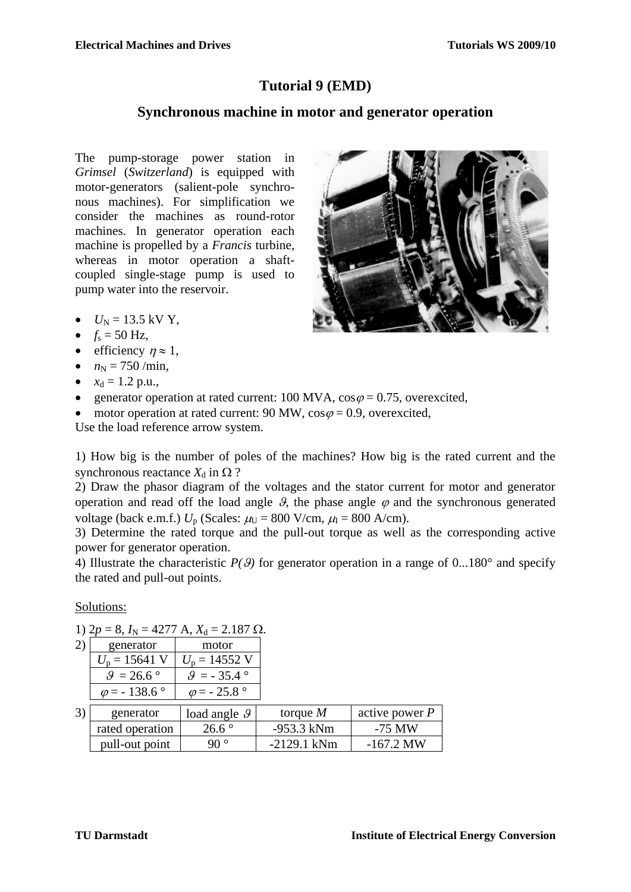## **Tutorial 9 (EMD)**

#### **Synchronous machine in motor and generator operation**

The pump-storage power station in *Grimsel* (*Switzerland*) is equipped with motor-generators (salient-pole synchronous machines). For simplification we consider the machines as round-rotor machines. In generator operation each machine is propelled by a *Francis* turbine, whereas in motor operation a shaftcoupled single-stage pump is used to pump water into the reservoir.



- $U_N = 13.5$  kV Y,
- $f_s = 50$  Hz,
- efficiency  $\eta \approx 1$ ,
- $n_N = 750 / \text{min}$ ,
- $x_d = 1.2$  p.u.,
- e generator operation at rated current: 100 MVA,  $\cos \varphi = 0.75$ , overexcited,
- motor operation at rated current: 90 MW,  $\cos \varphi = 0.9$ , overexcited,

Use the load reference arrow system.

1) How big is the number of poles of the machines? How big is the rated current and the synchronous reactance  $X_d$  in  $\Omega$  ?

2) Draw the phasor diagram of the voltages and the stator current for motor and generator operation and read off the load angle  $\theta$ , the phase angle  $\varphi$  and the synchronous generated voltage (back e.m.f.)  $U_p$  (Scales:  $\mu_U = 800$  V/cm,  $\mu_I = 800$  A/cm).

3) Determine the rated torque and the pull-out torque as well as the corresponding active power for generator operation.

4) Illustrate the characteristic  $P(\theta)$  for generator operation in a range of  $0...180^{\circ}$  and specify the rated and pull-out points.

Solutions:

1)  $2p = 8$ ,  $I_N = 4277$  A,  $X_d = 2.187$   $\Omega$ .

| generator                    | motor                 |  |  |
|------------------------------|-----------------------|--|--|
| $U_p = 15641$ V              | $U_p = 14552$ V       |  |  |
| $.9 = 26.6^{\circ}$          | $=$ - 35.4 $^{\circ}$ |  |  |
| $\omega$ = -138.6 $^{\circ}$ | $= -25.8$             |  |  |

| generator       | load angle $\mathcal{G}$ | torque $M$    | active power $P$ |  |
|-----------------|--------------------------|---------------|------------------|--|
| rated operation | $26.6^{\circ}$           | -953.3 kNm    | $-75$ MW         |  |
| pull-out point  | 90 °                     | $-2129.1$ kNm | $-167.2$ MW      |  |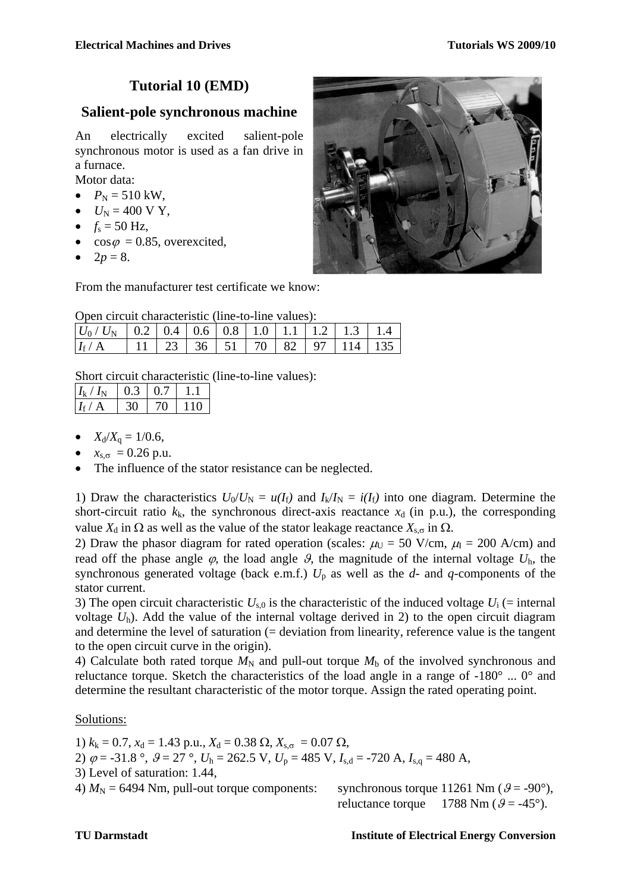## **Tutorial 10 (EMD)**

#### **Salient-pole synchronous machine**

An electrically excited salient-pole synchronous motor is used as a fan drive in a furnace.

Motor data:

- $P_N = 510 \text{ kW}$ ,
- $U_N = 400 \text{ V Y},$
- $f_s = 50$  Hz,
- $\cos \varphi = 0.85$ , overexcited,
- $2p = 8$ .



From the manufacturer test certificate we know:

|  |  |  | Open circuit characteristic (line-to-line values): |  |  |
|--|--|--|----------------------------------------------------|--|--|
|  |  |  |                                                    |  |  |

| $ U_0/U_N $ 0.2 0.4 0.6 0.8 1.0 1.1 1.2 1.3 1.4 |  |  |  |                                              |  |
|-------------------------------------------------|--|--|--|----------------------------------------------|--|
| $I_{\rm f}/A$                                   |  |  |  | 11   23   36   51   70   82   97   114   135 |  |

Short circuit characteristic (line-to-line values):

| $I_{k}/I_{N}$ | LO <sub>3</sub> | LO 7 |       |
|---------------|-----------------|------|-------|
| $I_f/A$       | 30              | 70   | l 110 |

- $X_d/X_a = 1/0.6$ ,
- $x_{s,\sigma} = 0.26 \text{ p.u.}$
- The influence of the stator resistance can be neglected.

1) Draw the characteristics  $U_0/U_N = u(I_f)$  and  $I_k/I_N = i(I_f)$  into one diagram. Determine the short-circuit ratio  $k_k$ , the synchronous direct-axis reactance  $x_d$  (in p.u.), the corresponding value  $X_d$  in  $\Omega$  as well as the value of the stator leakage reactance  $X_{s,\sigma}$  in  $\Omega$ .

2) Draw the phasor diagram for rated operation (scales:  $\mu_U = 50$  V/cm,  $\mu_I = 200$  A/cm) and read off the phase angle  $\varphi$ , the load angle  $\vartheta$ , the magnitude of the internal voltage  $U<sub>h</sub>$ , the synchronous generated voltage (back e.m.f.)  $U_p$  as well as the  $d$ - and  $q$ -components of the stator current.

3) The open circuit characteristic  $U_{s,0}$  is the characteristic of the induced voltage  $U_i$  (= internal voltage  $U<sub>h</sub>$ ). Add the value of the internal voltage derived in 2) to the open circuit diagram and determine the level of saturation (= deviation from linearity, reference value is the tangent to the open circuit curve in the origin).

4) Calculate both rated torque  $M_N$  and pull-out torque  $M_b$  of the involved synchronous and reluctance torque. Sketch the characteristics of the load angle in a range of -180° ... 0° and determine the resultant characteristic of the motor torque. Assign the rated operating point.

#### Solutions:

1)  $k_k = 0.7$ ,  $x_d = 1.43$  p.u.,  $X_d = 0.38$   $\Omega$ ,  $X_{s,\sigma} = 0.07$   $\Omega$ , 2)  $\varphi = -31.8$ °,  $\vartheta = 27$ °,  $U_h = 262.5$  V,  $U_p = 485$  V,  $I_{s,d} = -720$  A,  $I_{s,a} = 480$  A, 3) Level of saturation: 1.44, 4)  $M_N$  = 6494 Nm, pull-out torque components: synchronous torque 11261 Nm ( $\theta$  = -90°),

reluctance torque 1788 Nm ( $\beta$  = -45°).

#### **TU Darmstadt Institute of Electrical Energy Conversion**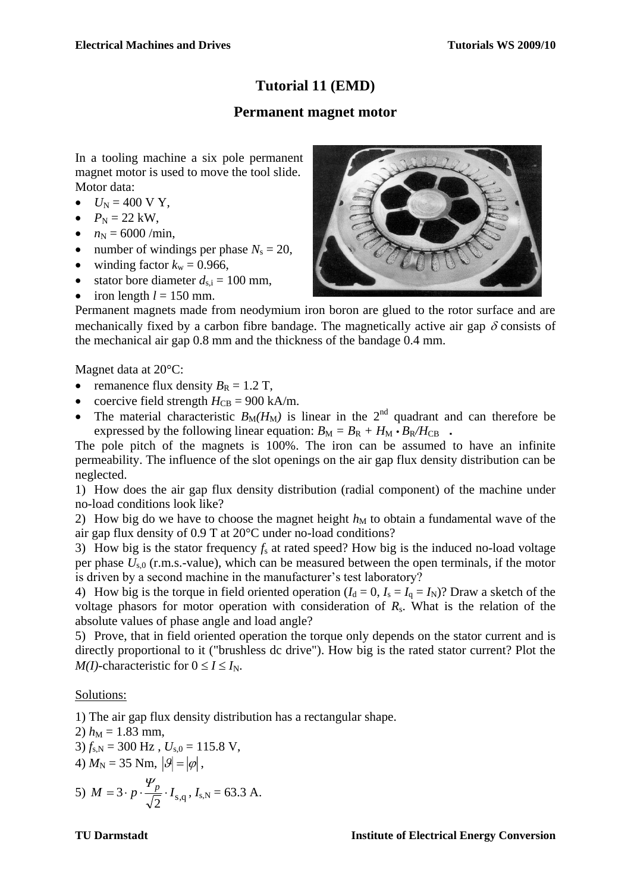## **Tutorial 11 (EMD)**

#### **Permanent magnet motor**

In a tooling machine a six pole permanent magnet motor is used to move the tool slide. Motor data:

- $U_N = 400 \text{ V Y},$
- $P_{\rm N} = 22 \text{ kW}$ ,
- $n_N = 6000 / \text{min}$ ,
- number of windings per phase  $N_s = 20$ ,
- $\bullet$  winding factor  $k_w = 0.966$ ,
- stator bore diameter  $d_{s,i} = 100$  mm,
- $\bullet$  iron length  $l = 150$  mm.



Permanent magnets made from neodymium iron boron are glued to the rotor surface and are mechanically fixed by a carbon fibre bandage. The magnetically active air gap  $\delta$  consists of the mechanical air gap 0.8 mm and the thickness of the bandage 0.4 mm.

Magnet data at 20°C:

- remanence flux density  $B_R = 1.2$  T,
- coercive field strength  $H_{CB} = 900$  kA/m.
- The material characteristic  $B_M(H_M)$  is linear in the 2<sup>nd</sup> quadrant and can therefore be expressed by the following linear equation:  $B_M = B_R + H_M \cdot B_R / H_{CB}$ .

The pole pitch of the magnets is 100%. The iron can be assumed to have an infinite permeability. The influence of the slot openings on the air gap flux density distribution can be neglected.

1) How does the air gap flux density distribution (radial component) of the machine under no-load conditions look like?

2) How big do we have to choose the magnet height  $h_M$  to obtain a fundamental wave of the air gap flux density of 0.9 T at 20°C under no-load conditions?

3) How big is the stator frequency *f*<sup>s</sup> at rated speed? How big is the induced no-load voltage per phase  $U_{s,0}$  (r.m.s.-value), which can be measured between the open terminals, if the motor is driven by a second machine in the manufacturer's test laboratory?

4) How big is the torque in field oriented operation  $(I_d = 0, I_s = I_q = I_N)$ ? Draw a sketch of the voltage phasors for motor operation with consideration of *R*s. What is the relation of the absolute values of phase angle and load angle?

5) Prove, that in field oriented operation the torque only depends on the stator current and is directly proportional to it ("brushless dc drive"). How big is the rated stator current? Plot the *M(I)*-characteristic for  $0 \le I \le I_N$ .

#### Solutions:

1) The air gap flux density distribution has a rectangular shape.

2)  $h_M = 1.83$  mm,  $3) f_{s,N} = 300 \text{ Hz}$ ,  $U_{s,0} = 115.8 \text{ V}$ , 4)  $M_{\rm N} = 35$  Nm,  $|\mathcal{G}| = |\varphi|$ , 5)  $M = 3 \cdot p \cdot \frac{p}{\sqrt{2}} \cdot I_{\text{s,q}}$  $\frac{\Psi_p}{\sqrt{2}} \cdot I_{s,q}$ ,  $I_{s,N} = 63.3$  A.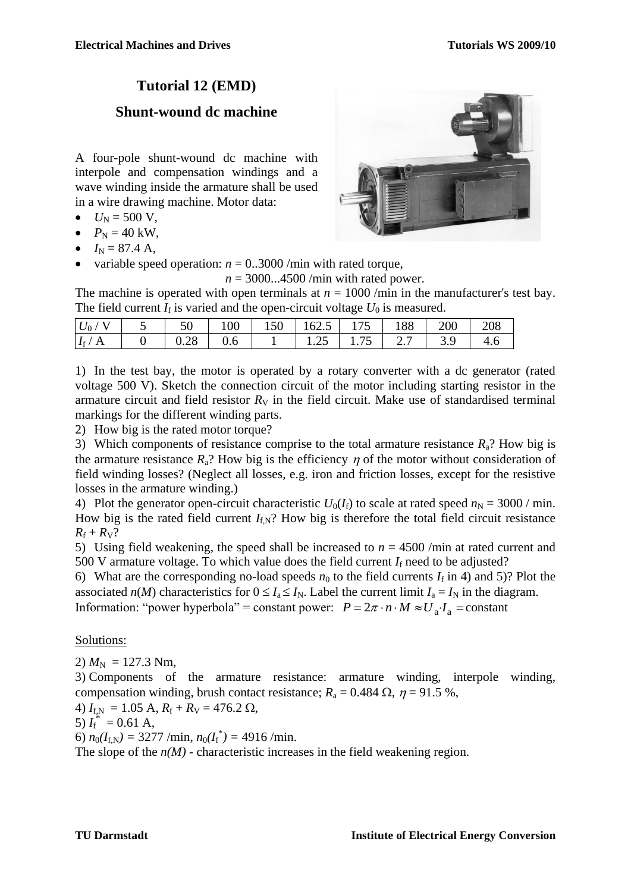## **Tutorial 12 (EMD)**

## **Shunt-wound dc machine**

A four-pole shunt-wound dc machine with interpole and compensation windings and a wave winding inside the armature shall be used in a wire drawing machine. Motor data:

- $U_N = 500 \text{ V}$ ,
- $P_{\rm N} = 40 \text{ kW}$ ,
- $I_N = 87.4 \text{ A}$ ,
- variable speed operation:  $n = 0.3000$ /min with rated torque,

 $n = 3000...4500$ /min with rated power.

The machine is operated with open terminals at  $n = 1000$  /min in the manufacturer's test bay. The field current  $I_f$  is varied and the open-circuit voltage  $U_0$  is measured.

| $ U_0\,/\, {\rm V} $ | 50   | 100 | $150 \mid 162.5 \mid 175 \mid$ | 188 | 200 | 208 |
|----------------------|------|-----|--------------------------------|-----|-----|-----|
| $I_{\rm f}$ / A      | 0.28 | 0.6 | $1.25$   $1.75$   $2.7$        |     | 3.9 |     |

1) In the test bay, the motor is operated by a rotary converter with a dc generator (rated voltage 500 V). Sketch the connection circuit of the motor including starting resistor in the armature circuit and field resistor  $R_V$  in the field circuit. Make use of standardised terminal markings for the different winding parts.

2) How big is the rated motor torque?

3) Which components of resistance comprise to the total armature resistance *R*a? How big is the armature resistance  $R_a$ ? How big is the efficiency  $\eta$  of the motor without consideration of field winding losses? (Neglect all losses, e.g. iron and friction losses, except for the resistive losses in the armature winding.)

4) Plot the generator open-circuit characteristic  $U_0(I_f)$  to scale at rated speed  $n_N = 3000$  / min. How big is the rated field current  $I_{f,N}$ ? How big is therefore the total field circuit resistance  $R_f + R_V?$ 

5) Using field weakening, the speed shall be increased to  $n = 4500$  /min at rated current and 500 V armature voltage. To which value does the field current  $I_f$  need to be adjusted?

6) What are the corresponding no-load speeds  $n_0$  to the field currents  $I_f$  in 4) and 5)? Plot the associated *n*(*M*) characteristics for  $0 \le I_a \le I_N$ . Label the current limit  $I_a = I_N$  in the diagram. Information: "power hyperbola" = constant power:  $P = 2\pi \cdot n \cdot M \approx U_a$ .  $I_a$  = constant

#### Solutions:

2)  $M_N = 127.3$  Nm,

3) Components of the armature resistance: armature winding, interpole winding, compensation winding, brush contact resistance;  $R_a = 0.484 \Omega$ ,  $\eta = 91.5 \%$ ,

4)  $I_{f,N} = 1.05 \text{ A}, R_f + R_V = 476.2 \Omega,$ 

5)  $I_{\rm f}^*$  = 0.61 A,

6)  $n_0(I_{f,N}) = 3277 / \text{min}, n_0(I_f^*) = 4916 / \text{min}.$ 

The slope of the  $n(M)$  - characteristic increases in the field weakening region.

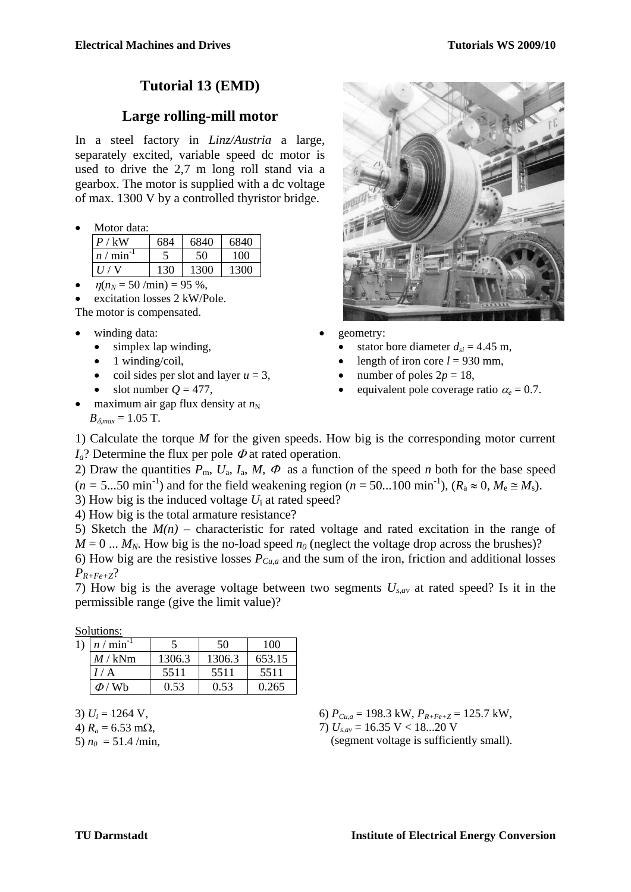## **Tutorial 13 (EMD)**

#### **Large rolling-mill motor**

In a steel factory in *Linz/Austria* a large, separately excited, variable speed dc motor is used to drive the 2,7 m long roll stand via a gearbox. The motor is supplied with a dc voltage of max. 1300 V by a controlled thyristor bridge.

Motor data:

| P / kW     | 684 | 6840 | 6840 |
|------------|-----|------|------|
| $n / \min$ |     |      | 100  |
|            |     | 1300 |      |

 $\eta(n_N = 50 \text{ /min}) = 95 \%$ ,

excitation losses 2 kW/Pole.

- The motor is compensated.
- winding data:
	- simplex lap winding,
	- $\bullet$  1 winding/coil,
	- coil sides per slot and layer  $u = 3$ ,
	- $\bullet$  slot number  $Q = 477$ .
- maximum air gap flux density at  $n<sub>N</sub>$  $B_{\delta max} = 1.05$  T.



- geometry:
	- stator bore diameter  $d_{si}$  = 4.45 m,
	- length of iron core  $l = 930$  mm,
	- number of poles  $2p = 18$ ,
	- equivalent pole coverage ratio  $\alpha_e = 0.7$ .
- 1) Calculate the torque *M* for the given speeds. How big is the corresponding motor current  $I_a$ ? Determine the flux per pole  $\Phi$  at rated operation.

2) Draw the quantities  $P_{\text{m}}$ ,  $U_{\text{a}}$ ,  $I_{\text{a}}$ ,  $M$ ,  $\Phi$  as a function of the speed *n* both for the base speed  $(n = 5...50 \text{ min}^{-1})$  and for the field weakening region  $(n = 50...100 \text{ min}^{-1})$ ,  $(R_a \approx 0, M_e \approx M_s)$ .

3) How big is the induced voltage *U*<sup>i</sup> at rated speed?

4) How big is the total armature resistance?

5) Sketch the  $M(n)$  – characteristic for rated voltage and rated excitation in the range of  $M = 0$  ...  $M_N$ . How big is the no-load speed  $n_0$  (neglect the voltage drop across the brushes)?

6) How big are the resistive losses *PCu,a* and the sum of the iron, friction and additional losses *PR+Fe+Z*?

7) How big is the average voltage between two segments *Us,av* at rated speed? Is it in the permissible range (give the limit value)?

Solutions:

| 1) | $n / \text{min}^{-1}$ |        | 50     | 100    |
|----|-----------------------|--------|--------|--------|
|    | $M/\mathrm{kNm}$      | 1306.3 | 1306.3 | 653.15 |
|    | I/A                   | 5511   | 5511   | 5511   |
|    | $\Phi$ / Wh           | 0.53   | 0.53   | 0.265  |

3)  $U_i = 1264$  V,

4)  $R_a = 6.53$  m $\Omega$ ,

5)  $n_0 = 51.4$  /min,

6) *PCu,a* = 198.3 kW, *PR+Fe+Z* = 125.7 kW, 7) *Us,av* = 16.35 V < 18...20 V (segment voltage is sufficiently small).